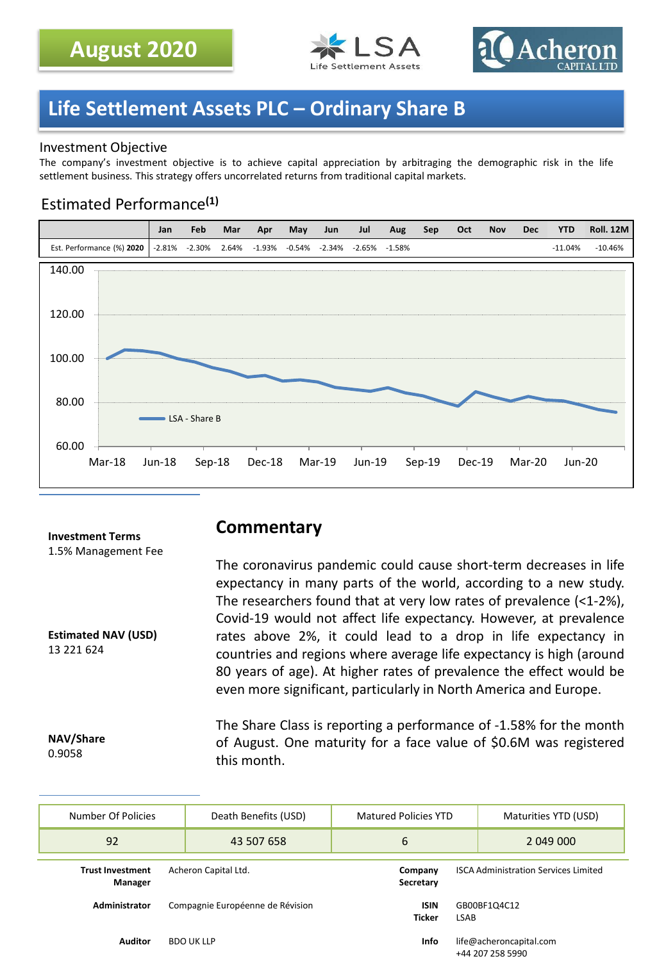



## **Life Settlement Assets PLC – Ordinary Share B**

### Investment Objective

The company's investment objective is to achieve capital appreciation by arbitraging the demographic risk in the life settlement business. This strategy offers uncorrelated returns from traditional capital markets.

### Estimated Performance**(1)**



#### **Investment Terms** 1.5% Management Fee

**Estimated NAV (USD)** 13 221 624

### **Commentary**

The coronavirus pandemic could cause short-term decreases in life expectancy in many parts of the world, according to a new study. The researchers found that at very low rates of prevalence (<1-2%), Covid-19 would not affect life expectancy. However, at prevalence rates above 2%, it could lead to a drop in life expectancy in countries and regions where average life expectancy is high (around 80 years of age). At higher rates of prevalence the effect would be even more significant, particularly in North America and Europe.

**NAV/Share** 0.9058

The Share Class is reporting a performance of -1.58% for the month of August. One maturity for a face value of \$0.6M was registered this month.

| Number Of Policies                 | Death Benefits (USD) |                                  | Matured Policies YTD                                         |                                             | Maturities YTD (USD) |
|------------------------------------|----------------------|----------------------------------|--------------------------------------------------------------|---------------------------------------------|----------------------|
| 92                                 |                      | 43 507 658                       | 6                                                            |                                             | 2 049 000            |
| <b>Trust Investment</b><br>Manager | Acheron Capital Ltd. |                                  | Company<br>Secretary                                         | <b>ISCA Administration Services Limited</b> |                      |
| <b>Administrator</b>               |                      | Compagnie Européenne de Révision | <b>ISIN</b><br><b>Ticker</b>                                 | GB00BF1Q4C12<br><b>LSAB</b>                 |                      |
| <b>Auditor</b>                     |                      | <b>BDO UK LLP</b>                | life@acheroncapital.com<br><b>Info</b><br>$+AA$ 207 258 5000 |                                             |                      |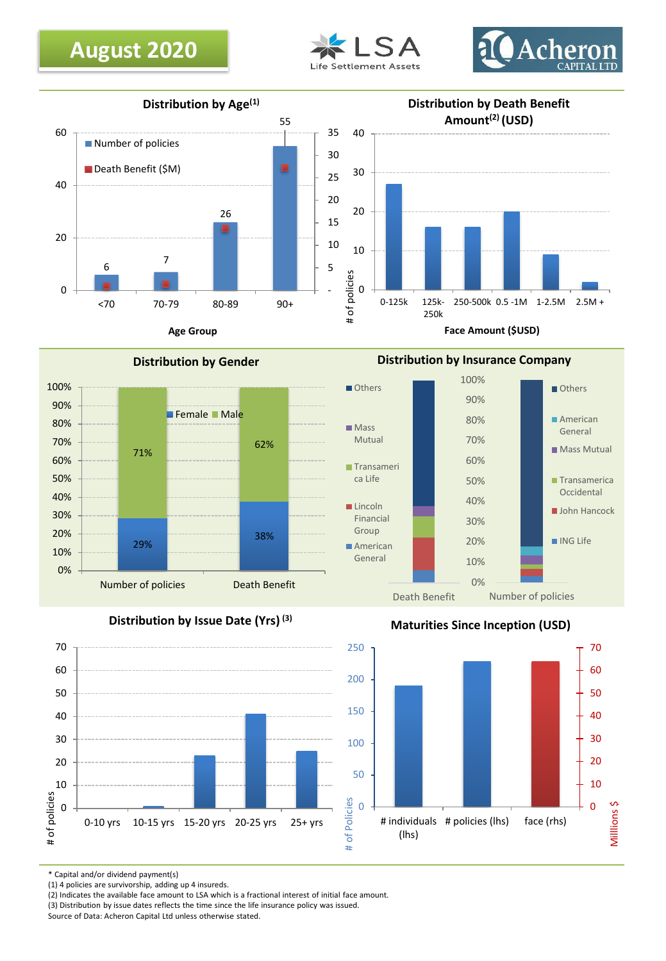





**Distribution by Gender**



**Distribution by Issue Date (Yrs) (3)**







\* Capital and/or dividend payment(s)

(1) 4 policies are survivorship, adding up 4 insureds.

(2) Indicates the available face amount to LSA which is a fractional interest of initial face amount.

(3) Distribution by issue dates reflects the time since the life insurance policy was issued.

Source of Data: Acheron Capital Ltd unless otherwise stated.